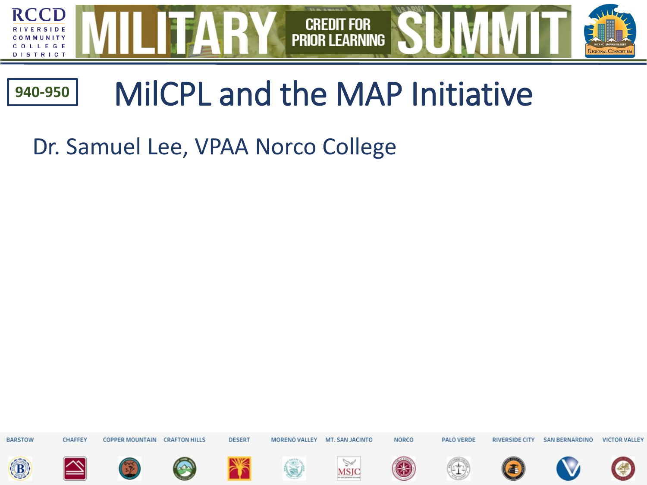

#### MilCPL and the MAP Initiative **940-950**

Dr. Samuel Lee, VPAA Norco College

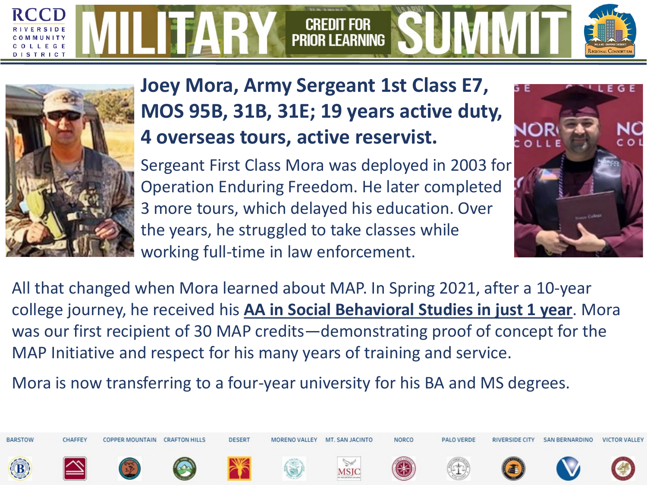#### **CREDIT FOR PRIOR LEARNING** TRIC



**Joey Mora, Army Sergeant 1st Class E7, MOS 95B, 31B, 31E; 19 years active duty, 4 overseas tours, active reservist.**

Sergeant First Class Mora was deployed in 2003 for Operation Enduring Freedom. He later completed 3 more tours, which delayed his education. Over the years, he struggled to take classes while working full-time in law enforcement.



All that changed when Mora learned about MAP. In Spring 2021, after a 10-year college journey, he received his **AA in Social Behavioral Studies in just 1 year**. Mora was our first recipient of 30 MAP credits—demonstrating proof of concept for the MAP Initiative and respect for his many years of training and service.

Mora is now transferring to a four-year university for his BA and MS degrees.

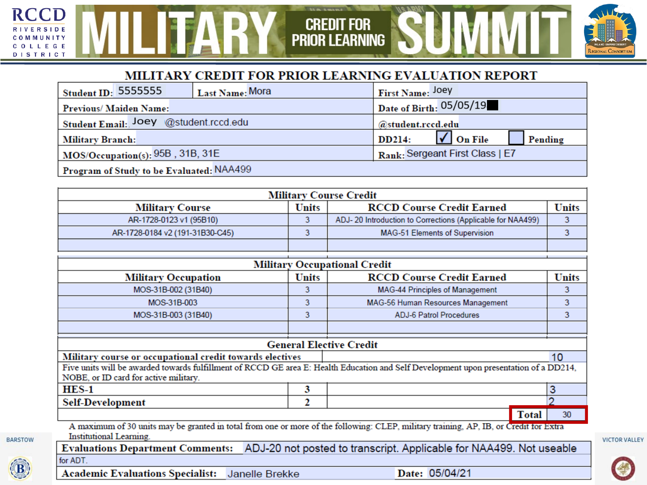#### MILITARY CREDIT FOR PRIOR LEARNING EVALUATION REPORT

**CREDIT FOR<br>PRIOR LEARNING** 

**TYPE OF THE** 

| <b>Student ID: 5555555</b><br><sup>1</sup> Last Name: Mora | First Name: Joey                                         |  |  |  |
|------------------------------------------------------------|----------------------------------------------------------|--|--|--|
| Date of Birth: $05/05/19$<br><b>Previous/Maiden Name:</b>  |                                                          |  |  |  |
| Student Email: Joey @student.rccd.edu                      | @student.rccd.edu                                        |  |  |  |
| <b>Military Branch:</b>                                    | $\sqrt{\phantom{a}}$ On File<br><b>DD214:</b><br>Pending |  |  |  |
| $MOS/O$ ccupation(s): $95B$ , $31B$ , $31E$                | Rank: Sergeant First Class   E7                          |  |  |  |
| Program of Study to be Evaluated: NAA499                   |                                                          |  |  |  |

| <b>Military Course Credit</b>                                       |  |                                                            |  |  |  |
|---------------------------------------------------------------------|--|------------------------------------------------------------|--|--|--|
| Units<br><b>RCCD Course Credit Earned</b><br><b>Military Course</b> |  | <b>Units</b>                                               |  |  |  |
| AR-1728-0123 v1 (95B10)                                             |  | ADJ-20 Introduction to Corrections (Applicable for NAA499) |  |  |  |
| AR-1728-0184 v2 (191-31B30-C45)                                     |  | <b>MAG-51 Elements of Supervision</b>                      |  |  |  |
|                                                                     |  |                                                            |  |  |  |

| <b>Military Occupational Credit</b>                                                                                                                                            |              |                                                                                                                                       |                 |  |
|--------------------------------------------------------------------------------------------------------------------------------------------------------------------------------|--------------|---------------------------------------------------------------------------------------------------------------------------------------|-----------------|--|
| <b>Military Occupation</b>                                                                                                                                                     | <b>Units</b> | <b>RCCD Course Credit Earned</b>                                                                                                      | <b>Units</b>    |  |
| MOS-31B-002 (31B40)                                                                                                                                                            | 3            | <b>MAG-44 Principles of Management</b>                                                                                                | 3               |  |
| MOS-31B-003                                                                                                                                                                    | 3            | MAG-56 Human Resources Management                                                                                                     | 3               |  |
| MOS-31B-003 (31B40)                                                                                                                                                            | 3            | <b>ADJ-6 Patrol Procedures</b>                                                                                                        |                 |  |
|                                                                                                                                                                                |              |                                                                                                                                       |                 |  |
|                                                                                                                                                                                |              | <b>General Elective Credit</b>                                                                                                        |                 |  |
| Military course or occupational credit towards electives                                                                                                                       |              |                                                                                                                                       | 10 <sup>°</sup> |  |
| Five units will be awarded towards fulfillment of RCCD GE area E: Health Education and Self Development upon presentation of a DD214,<br>NOBE, or ID card for active military. |              |                                                                                                                                       |                 |  |
| $HES-1$                                                                                                                                                                        | 3            |                                                                                                                                       | 3               |  |
| 2<br><b>Self-Development</b>                                                                                                                                                   |              |                                                                                                                                       |                 |  |
|                                                                                                                                                                                |              | <b>Total</b>                                                                                                                          | 30              |  |
| Institutional Learning.                                                                                                                                                        |              | A maximum of 30 units may be granted in total from one or more of the following: CLEP, military training, AP, IB, or Credit for Extra |                 |  |
| Evaluations Department Comments: ADJ-20 not posted to transcript. Applicable for NAA499. Not useable                                                                           |              |                                                                                                                                       |                 |  |
| for ADT.                                                                                                                                                                       |              |                                                                                                                                       |                 |  |
| <b>Academic Evaluations Specialist:</b><br>Janelle Brekke                                                                                                                      |              | Date: 05/04/21                                                                                                                        |                 |  |

**VICTOR VALLEY** 



**BARSTOW** 

**RCCD** 

**RIVERSIDE** MMUNITY

COLLEGE **DISTRICT** 

C O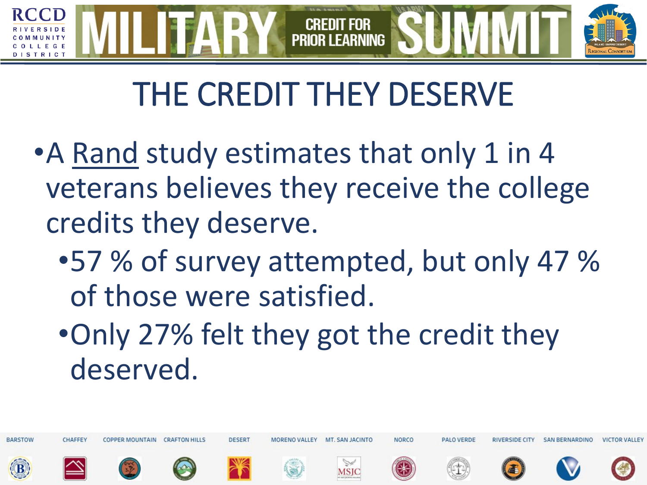#### **CREDIT PRIOR LEARNING** TRICT

### THE CREDIT THEY DESERVE

- A Rand study estimates that only 1 in 4 veterans believes they receive the college credits they deserve.
	- •57 % of survey attempted, but only 47 % of those were satisfied.
	- •Only 27% felt they got the credit they deserved.

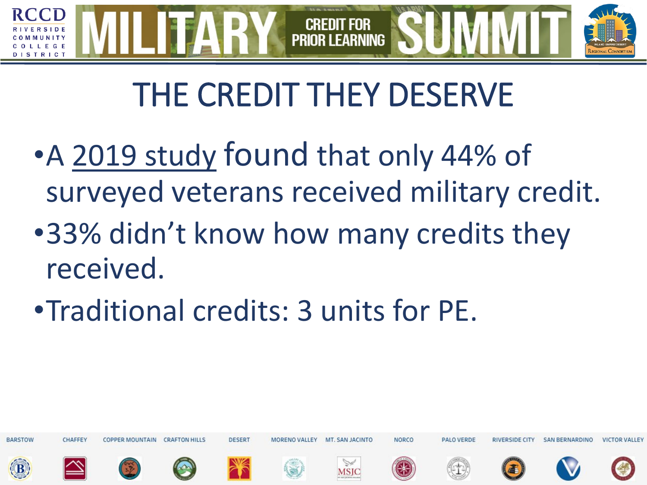### **PRIOR I FARNING** T R I C I

# THE CREDIT THEY DESERVE

- •A [2019 study](https://scholarworks.sjsu.edu/cgi/viewcontent.cgi?article=1945&context=etd_projects) found that only 44% of surveyed veterans received military credit.
- •33% didn't know how many credits they received.
- •Traditional credits: 3 units for PE.

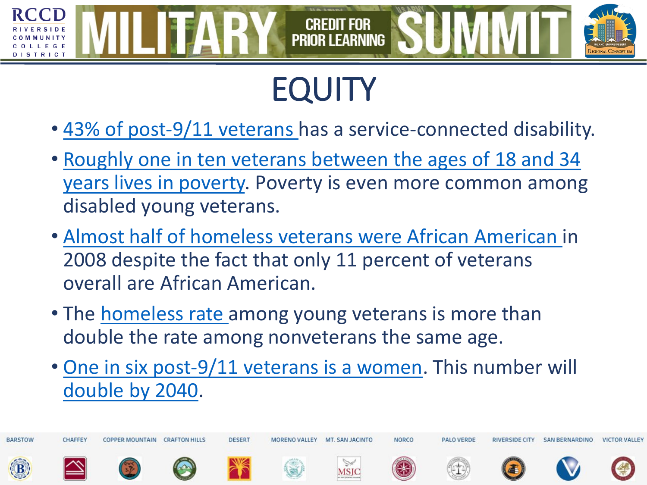#### **CREDIT FOR PRIOR LEARNING** TRICT

# **EQUITY**

- [43% of post-9/11 veterans](https://www.census.gov/newsroom/press-releases/2020/veterans-report.html) has a service-connected disability.
- Roughly one in ten veterans between the ages of 18 and 34 [years lives in poverty. Poverty is even more common among](https://www.bls.gov/news.release/archives/vet_03112011.pdf) disabled young veterans.
- [Almost half of homeless veterans were African American i](https://greendoors.org/facts/veteran-homelessness.php)n 2008 despite the fact that only 11 percent of veterans overall are African American.
- The [homeless rate](https://nchv.org/veteran-homelessness/) among young veterans is more than double the rate among nonveterans the same age.
- [One in six post-9/11 veterans is a women.](https://www.jec.senate.gov/public/_cache/files/26971be7-ba33-4417-8cbc-c6022e734321/jec-veterans-day-fact-sheet-2016.pdf) This number will [double by 2040.](https://www.census.gov/newsroom/press-releases/2020/veterans-report.html)

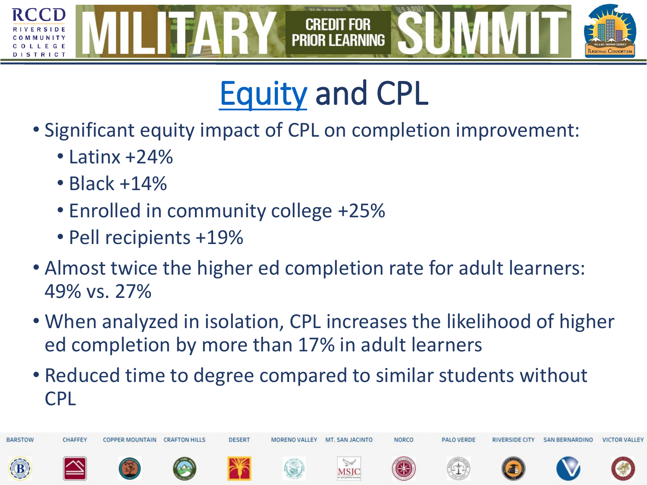

### [Equity](https://www.wiche.edu/wp-content/uploads/2020/06/PLA-in-the-Era-of-COVID-19-brief_final.pdf) and CPL

- Significant equity impact of CPL on completion improvement:
	- $\cdot$  Latinx +24%
	- Black +14%
	- Enrolled in community college +25%
	- Pell recipients +19%
- Almost twice the higher ed completion rate for adult learners: 49% vs. 27%
- When analyzed in isolation, CPL increases the likelihood of higher ed completion by more than 17% in adult learners
- Reduced time to degree compared to similar students without CPL

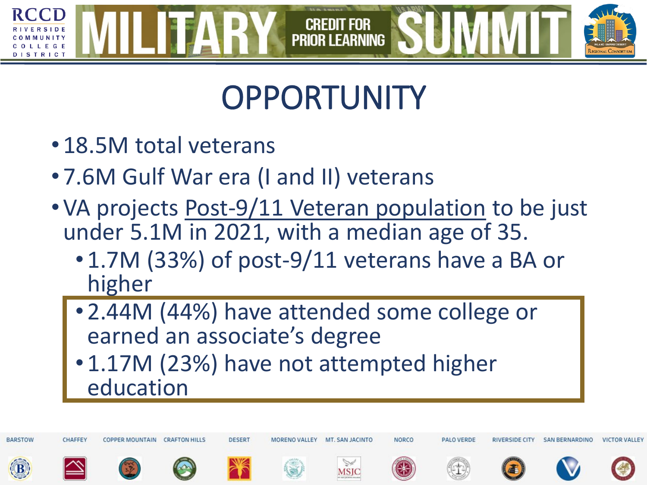#### **CREDIT FOR PRIOR LEARNING** TRICT

### **OPPORTUNITY**

- 18.5M total veterans
- 7.6M Gulf War era (I and II) veterans
- VA projects [Post-9/11 Veteran population](https://www.va.gov/vetdata/docs/SpecialReports/Post_911_Veterans_Profile_2016.pdf) to be just under 5.1M in 2021, with a median age of 35.
	- 1.7M (33%) of post-9/11 veterans have a BA or higher
	- 2.44M (44%) have attended some college or earned an associate's degree
	- 1.17M (23%) have not attempted higher education

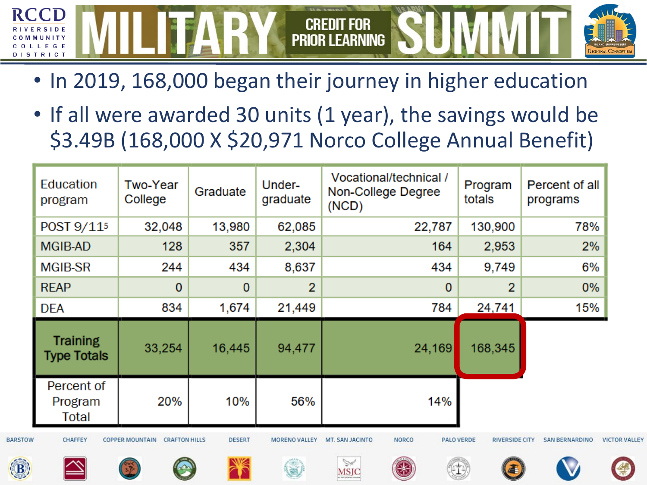

- In 2019, 168,000 began their journey in higher education
- If all were awarded 30 units (1 year), the savings would be \$3.49B (168,000 X \$20,971 Norco College Annual Benefit)

| Education<br>program                  | <b>Two-Year</b><br>College                     | Graduate      | Under-<br>graduate   | Vocational/technical /<br>Non-College Degree<br>(NCD) | Program<br>totals                          | Percent of all<br>programs |                      |
|---------------------------------------|------------------------------------------------|---------------|----------------------|-------------------------------------------------------|--------------------------------------------|----------------------------|----------------------|
| POST 9/11 <sup>5</sup>                | 32,048                                         | 13,980        | 62,085               | 22,787                                                | 130,900                                    | 78%                        |                      |
| MGIB-AD                               | 128                                            | 357           | 2,304                | 164                                                   | 2,953                                      | 2%                         |                      |
| <b>MGIB-SR</b>                        | 244                                            | 434           | 8,637                | 434                                                   | 9,749                                      | 6%                         |                      |
| <b>REAP</b>                           | 0                                              | $\mathbf{0}$  | $\overline{2}$       | $\mathbf{0}$                                          | $\overline{2}$                             | $0\%$                      |                      |
| <b>DEA</b>                            | 834                                            | 1,674         | 21,449               | 784                                                   | 24,741                                     | 15%                        |                      |
| <b>Training</b><br><b>Type Totals</b> | 33,254                                         | 16,445        | 94,477               | 24,169                                                | 168,345                                    |                            |                      |
| Percent of<br>Program<br>Total        | 20%                                            | 10%           | 56%                  | 14%                                                   |                                            |                            |                      |
| CHAFFEY                               | <b>COPPER MOUNTAIN</b><br><b>CRAFTON HILLS</b> | <b>DESERT</b> | <b>MORENO VALLEY</b> | <b>NORCO</b><br>MT. SAN JACINTO                       | <b>PALO VERDE</b><br><b>RIVERSIDE CITY</b> | <b>SAN BERNARDINO</b>      | <b>VICTOR VALLEY</b> |
|                                       |                                                |               |                      | $\mathbb{V}$<br>$\bigcirc$<br><b>MSJC</b>             | G                                          |                            | $\triangleq$         |

**BARSTO**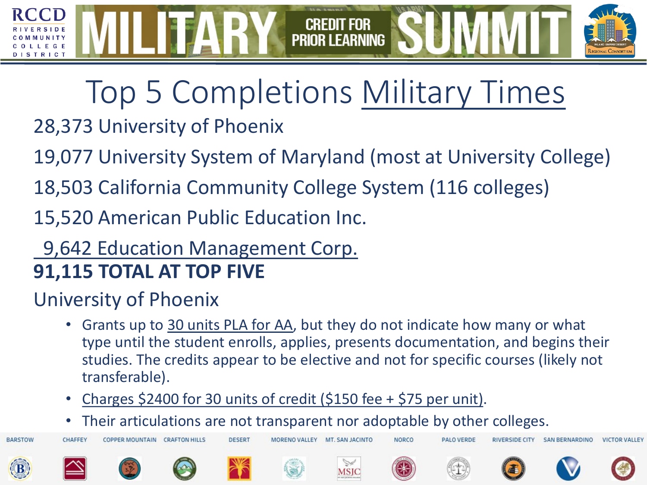### Top 5 Completions [Military Times](https://rebootcamp.militarytimes.com/news/education/2018/06/11/top-50-schools-for-post-911-gi-bill-fiscal-2017/)

**CREDIT FOR PRIOR LEARNING** 

### 28,373 University of Phoenix

TRICT

**BARSTOW** 

19,077 University System of Maryland (most at University College)

18,503 California Community College System (116 colleges)

15,520 American Public Education Inc.

#### 9,642 Education Management Corp. **91,115 TOTAL AT TOP FIVE**

#### University of Phoenix

- Grants up to [30 units PLA for AA](https://www.phoenix.edu/admissions/transfer_information/military_experience.html), but they do not indicate how many or what type until the student enrolls, applies, presents documentation, and begins their studies. The credits appear to be elective and not for specific courses (likely not transferable).
- [Charges \\$2400 for 30 units of credit \(\\$150 fee + \\$75 per unit\).](https://www.phoenix.edu/admissions/transfer_information/military_experience.html)
- Their articulations are not transparent nor adoptable by other colleges.

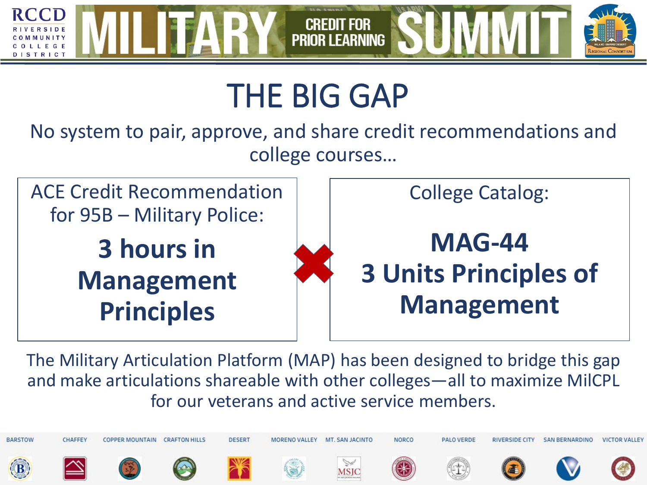

### THE BIG GAP

No system to pair, approve, and share credit recommendations and college courses…



The Military Articulation Platform (MAP) has been designed to bridge this gap and make articulations shareable with other colleges—all to maximize MilCPL for our veterans and active service members.

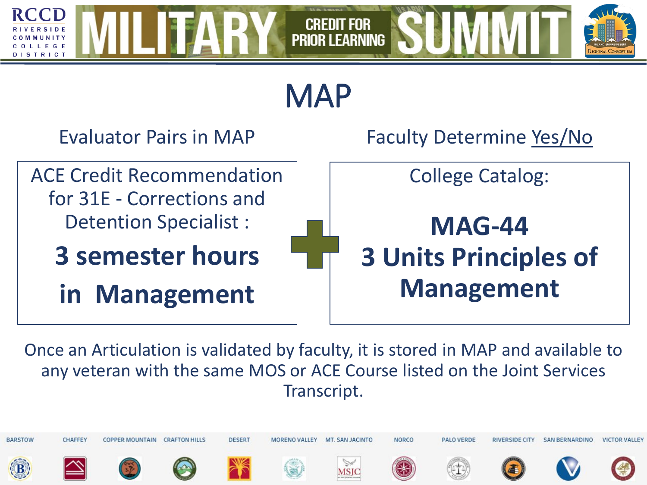



Once an Articulation is validated by faculty, it is stored in MAP and available to any veteran with the same MOS or ACE Course listed on the Joint Services Transcript.

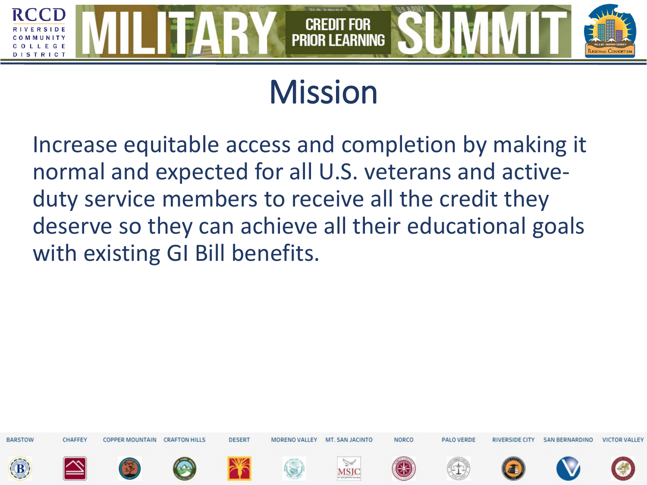

### Mission

Increase equitable access and completion by making it normal and expected for all U.S. veterans and activeduty service members to receive all the credit they deserve so they can achieve all their educational goals with existing GI Bill benefits.